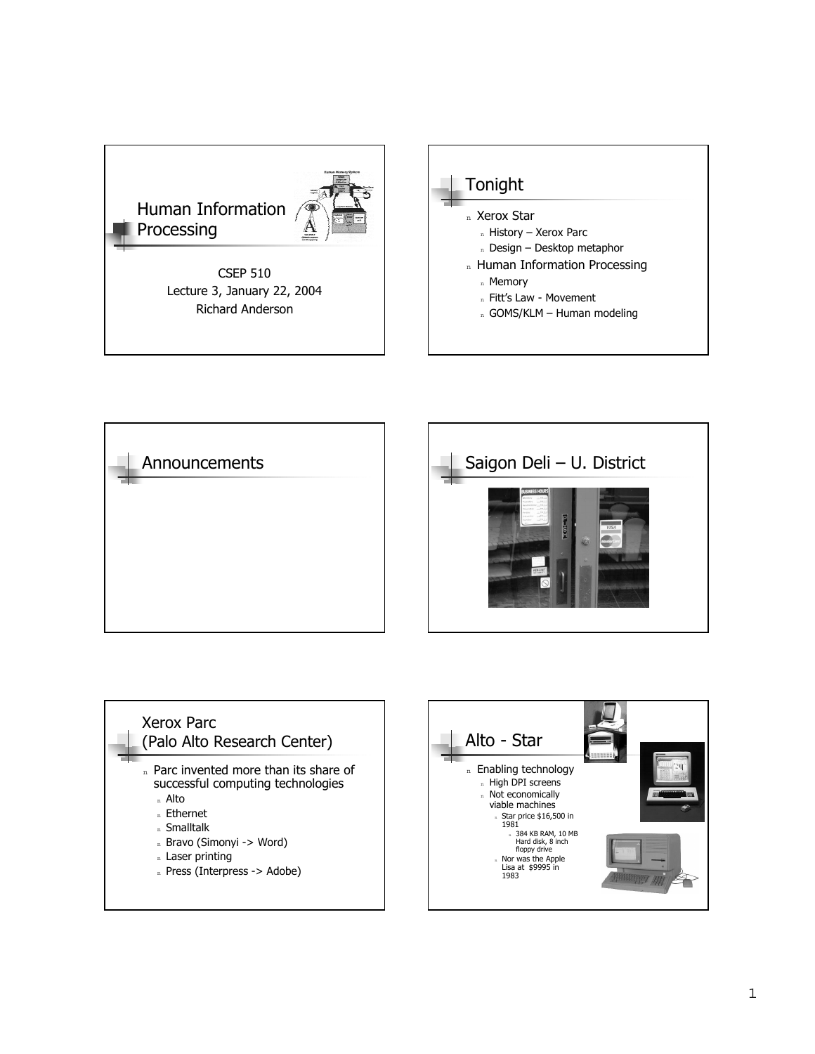

CSEP 510 Lecture 3, January 22, 2004 Richard Anderson









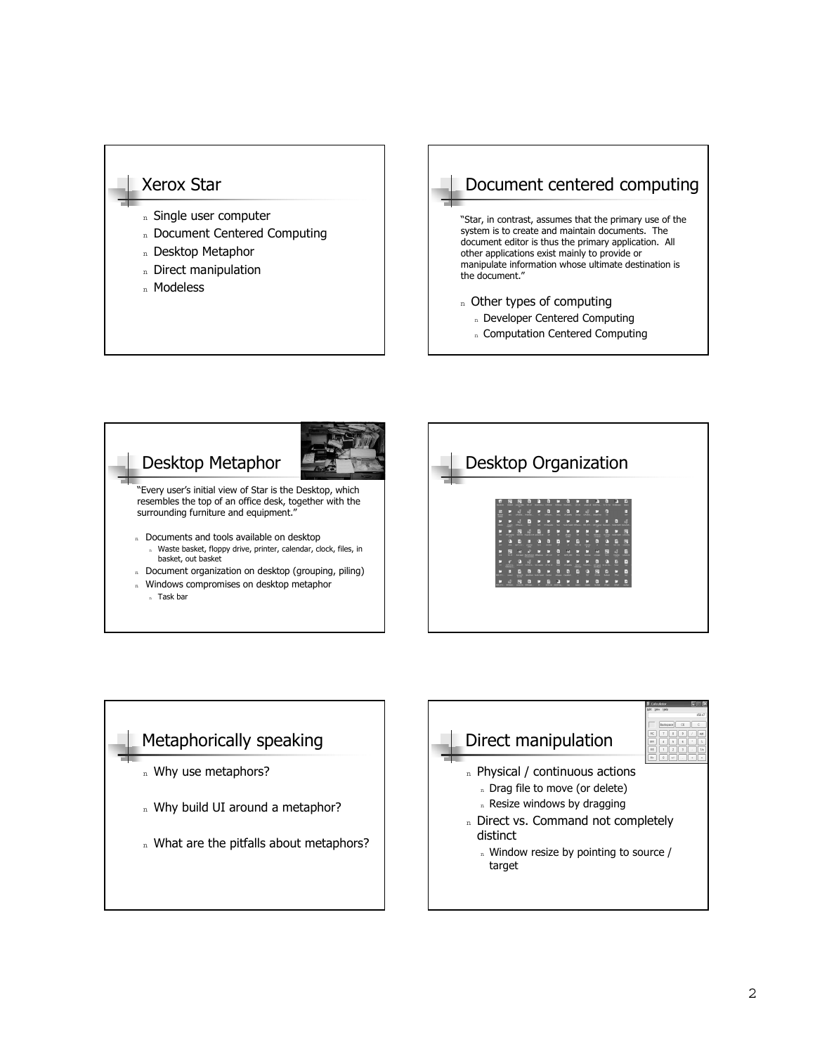#### Xerox Star

- n Single user computer
- n Document Centered Computing
- n Desktop Metaphor
- n Direct manipulation
- n Modeless

## Document centered computing

"Star, in contrast, assumes that the primary use of the system is to create and maintain documents. The document editor is thus the primary application. All other applications exist mainly to provide or manipulate information whose ultimate destination is the document."

- n Other types of computing
- n Developer Centered Computing
- n Computation Centered Computing





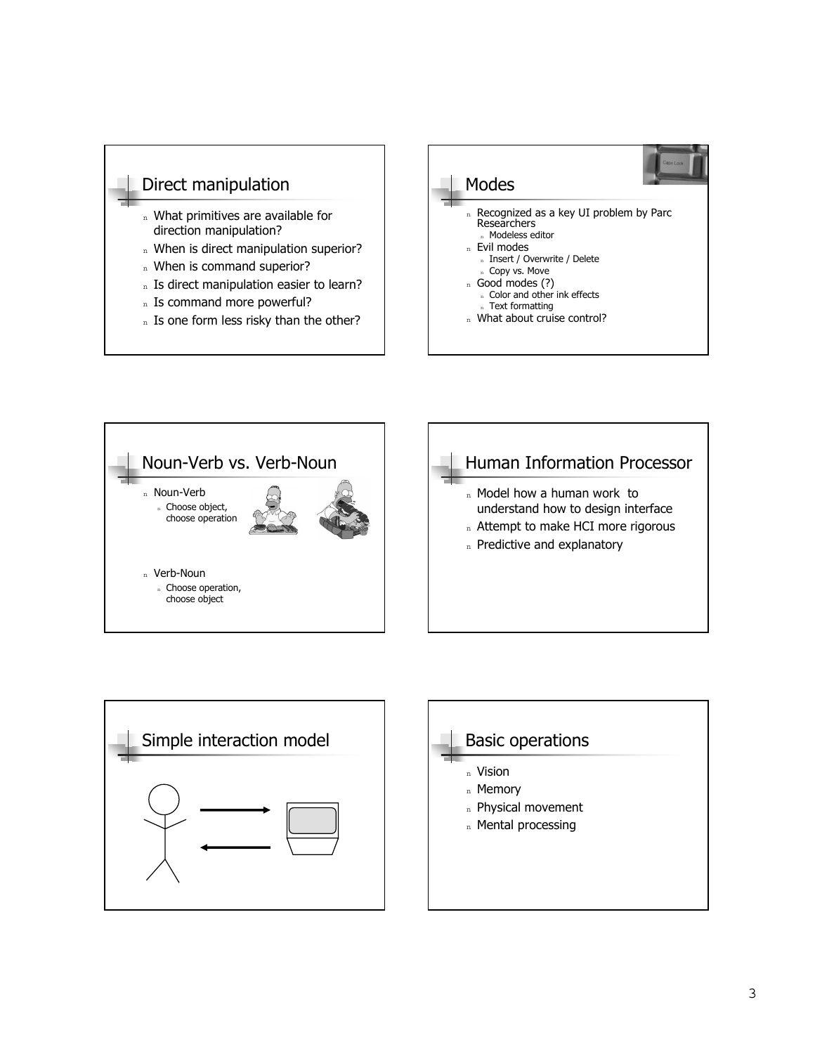### Direct manipulation

- n What primitives are available for direction manipulation?
- n When is direct manipulation superior?
- n When is command superior?
- n Is direct manipulation easier to learn?
- n Is command more powerful?
- n Is one form less risky than the other?







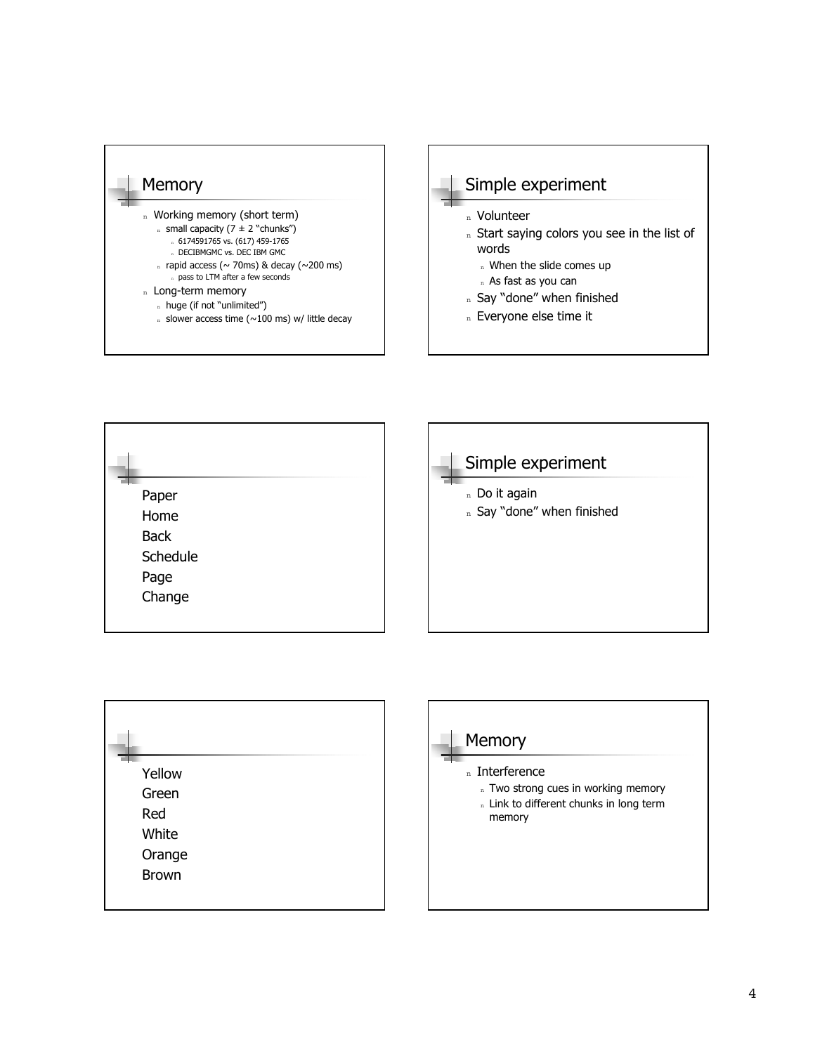







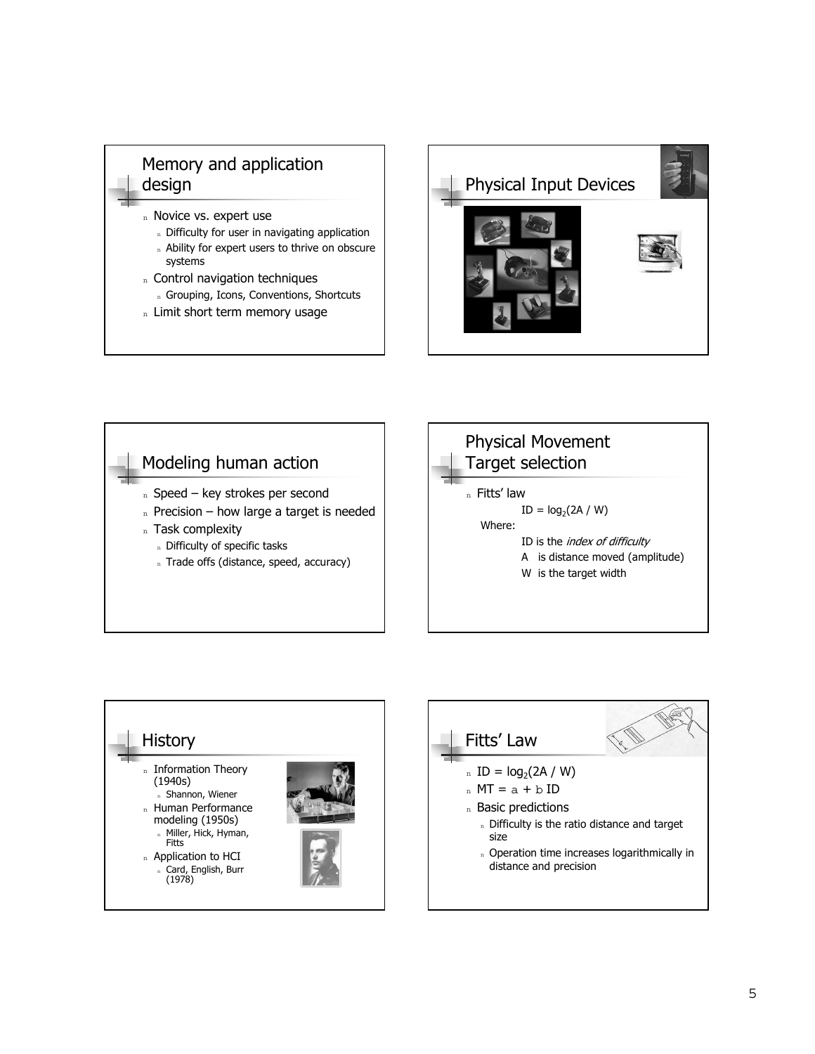### Memory and application design

- n Novice vs. expert use
	- n Difficulty for user in navigating application
	- n Ability for expert users to thrive on obscure systems
- n Control navigation techniques
	- n Grouping, Icons, Conventions, Shortcuts
- n Limit short term memory usage







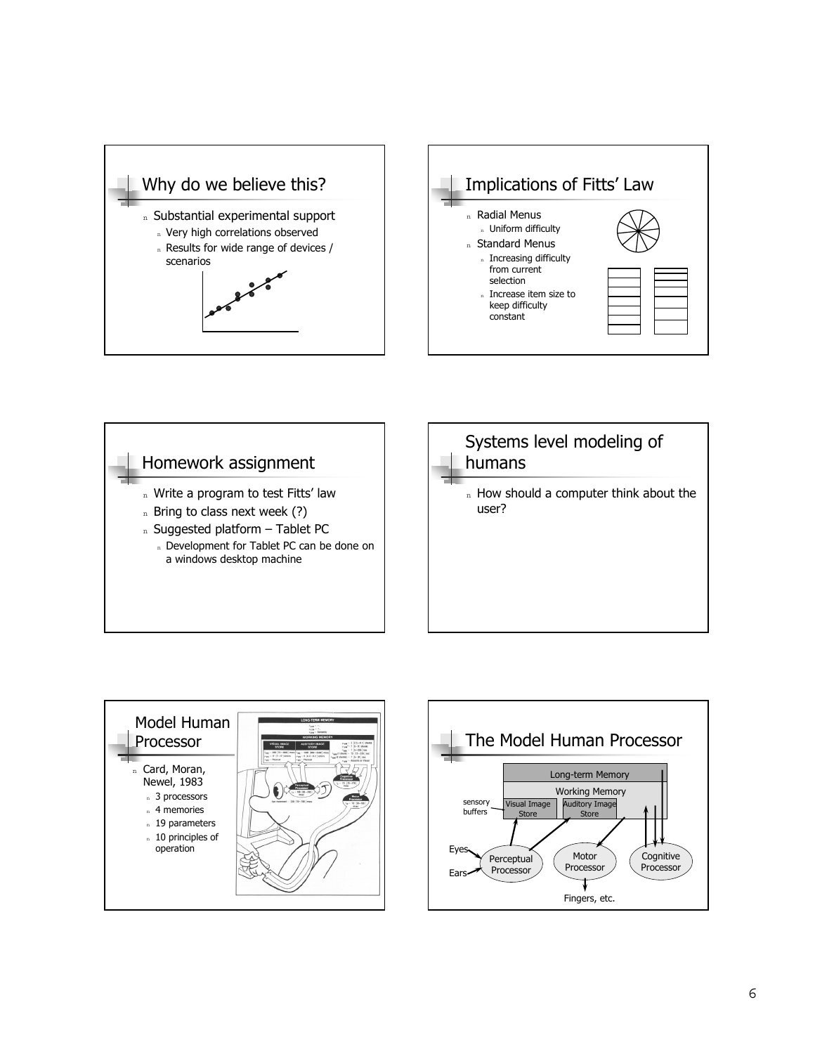







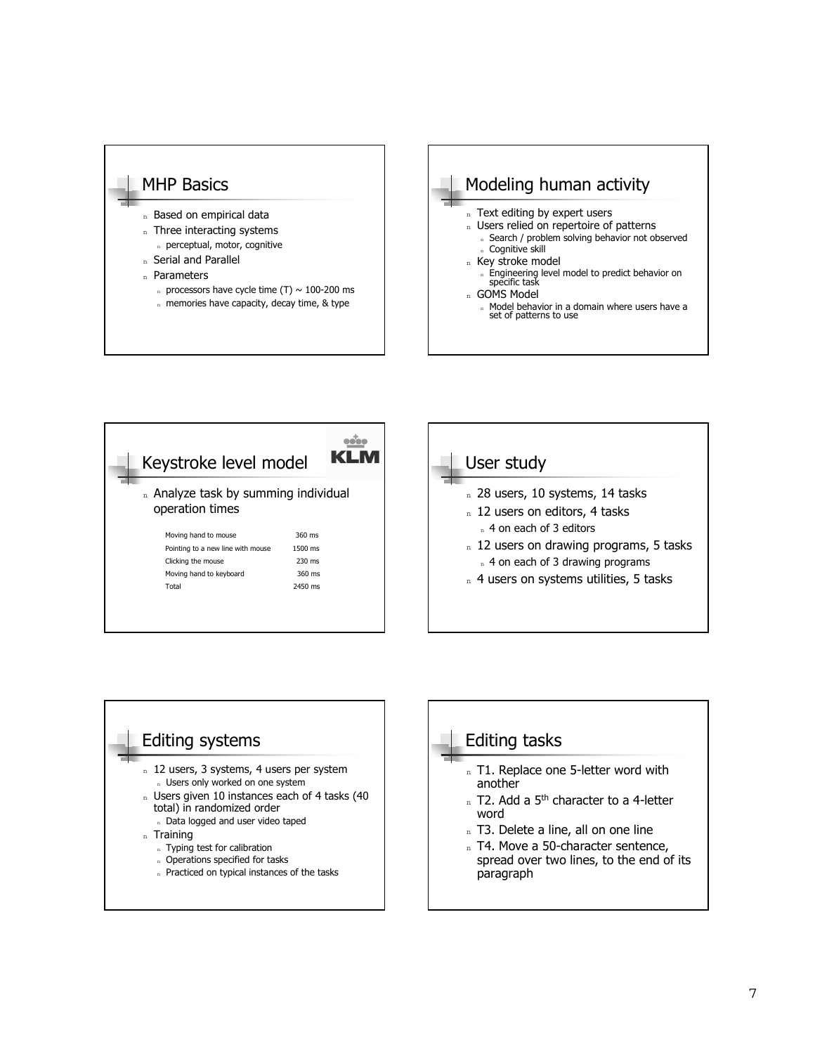





## Editing tasks

- n T1. Replace one 5-letter word with another
- $n$  T2. Add a 5<sup>th</sup> character to a 4-letter word
- n T3. Delete a line, all on one line
- n T4. Move a 50-character sentence, spread over two lines, to the end of its paragraph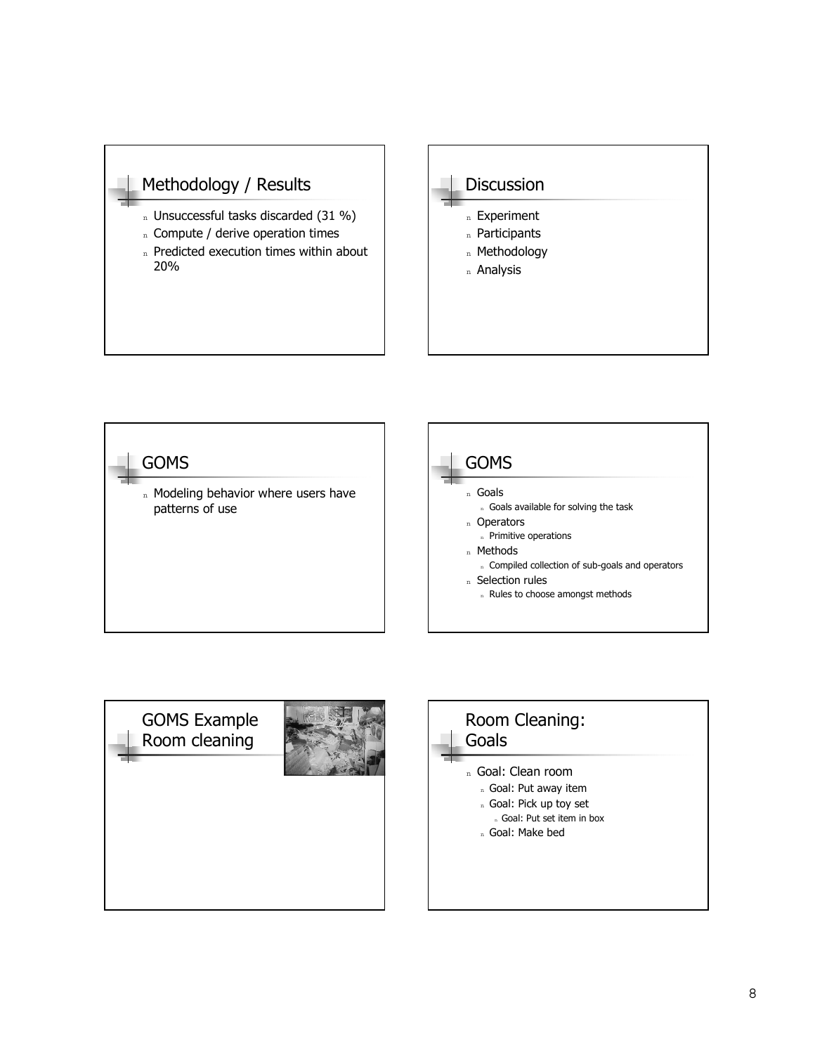### Methodology / Results

- n Unsuccessful tasks discarded (31 %)
- n Compute / derive operation times
- n Predicted execution times within about 20%







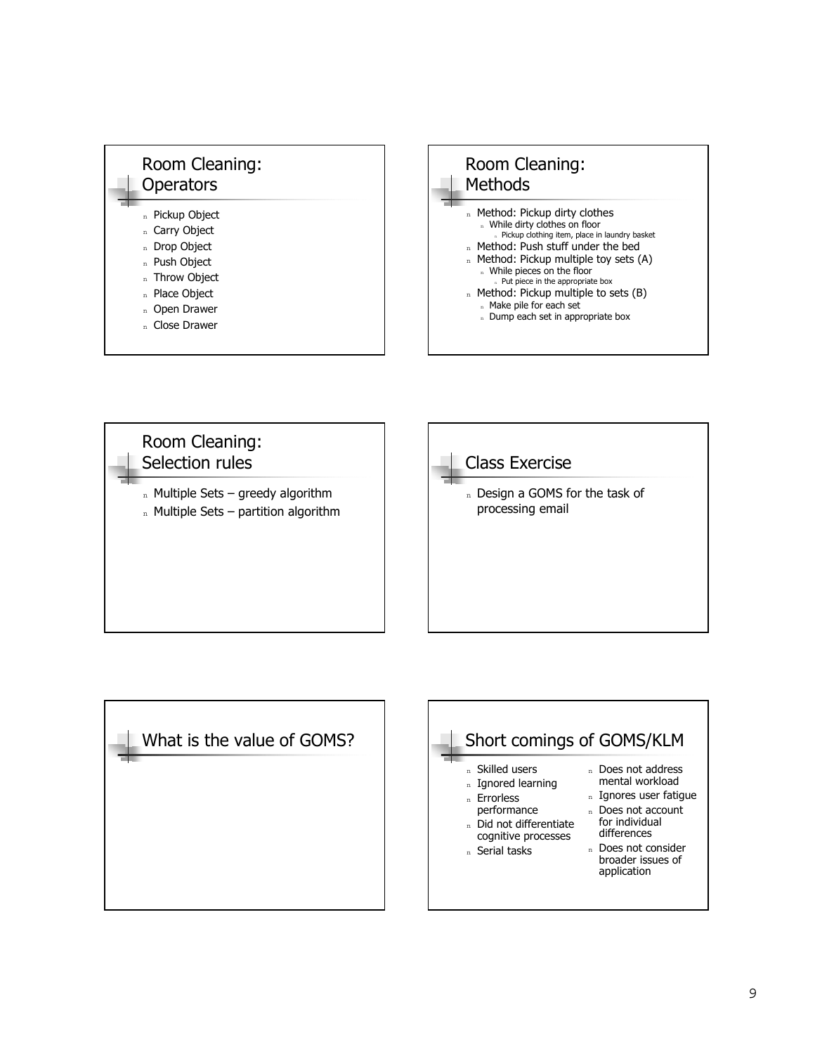





- <sup>n</sup> Does not address mental workload
- n Ignores user fatigue
- n Does not account
- for individual differences n Does not consider
- broader issues of application